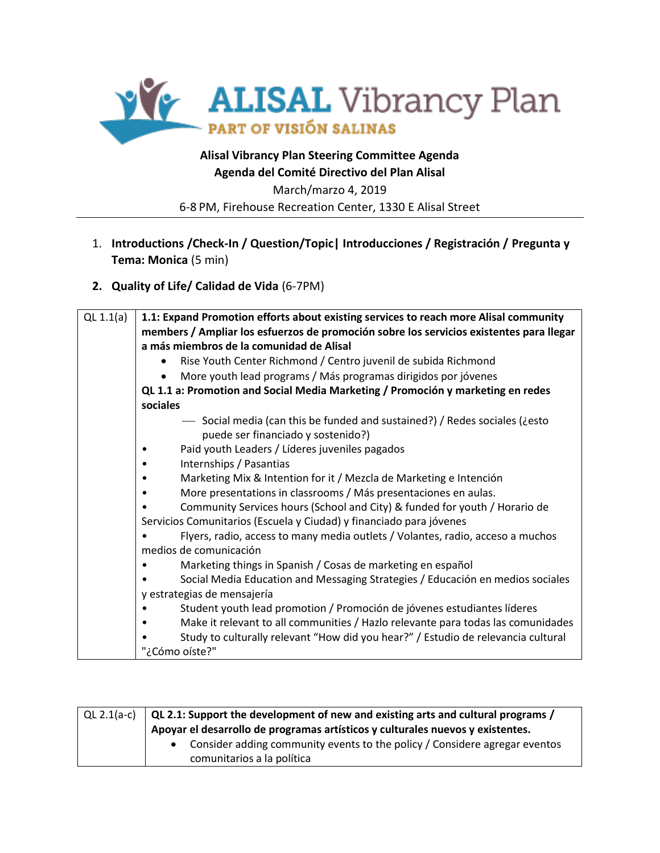

March/marzo 4, 2019 6-8 PM, Firehouse Recreation Center, 1330 E Alisal Street

1. **Introductions /Check-In / Question/Topic| Introducciones / Registración / Pregunta y Tema: Monica** (5 min)

### **2. Quality of Life/ Calidad de Vida** (6-7PM)

| QL $1.1(a)$ | 1.1: Expand Promotion efforts about existing services to reach more Alisal community                             |
|-------------|------------------------------------------------------------------------------------------------------------------|
|             | members / Ampliar los esfuerzos de promoción sobre los servicios existentes para llegar                          |
|             | a más miembros de la comunidad de Alisal                                                                         |
|             | Rise Youth Center Richmond / Centro juvenil de subida Richmond                                                   |
|             | More youth lead programs / Más programas dirigidos por jóvenes                                                   |
|             | QL 1.1 a: Promotion and Social Media Marketing / Promoción y marketing en redes                                  |
|             | sociales                                                                                                         |
|             | - Social media (can this be funded and sustained?) / Redes sociales (¿esto<br>puede ser financiado y sostenido?) |
|             | Paid youth Leaders / Líderes juveniles pagados                                                                   |
|             | Internships / Pasantias                                                                                          |
|             | Marketing Mix & Intention for it / Mezcla de Marketing e Intención                                               |
|             | More presentations in classrooms / Más presentaciones en aulas.<br>$\bullet$                                     |
|             | Community Services hours (School and City) & funded for youth / Horario de                                       |
|             | Servicios Comunitarios (Escuela y Ciudad) y financiado para jóvenes                                              |
|             | Flyers, radio, access to many media outlets / Volantes, radio, acceso a muchos                                   |
|             | medios de comunicación                                                                                           |
|             | Marketing things in Spanish / Cosas de marketing en español                                                      |
|             | Social Media Education and Messaging Strategies / Educación en medios sociales                                   |
|             | y estrategias de mensajería                                                                                      |
|             | Student youth lead promotion / Promoción de jóvenes estudiantes líderes                                          |
|             | Make it relevant to all communities / Hazlo relevante para todas las comunidades                                 |
|             | Study to culturally relevant "How did you hear?" / Estudio de relevancia cultural                                |
|             | "¿Cómo oíste?"                                                                                                   |

| QL 2.1(a-c) $\vert$ QL 2.1: Support the development of new and existing arts and cultural programs /<br>Apoyar el desarrollo de programas artísticos y culturales nuevos y existentes. |
|----------------------------------------------------------------------------------------------------------------------------------------------------------------------------------------|
| • Consider adding community events to the policy / Considere agregar eventos<br>comunitarios a la política                                                                             |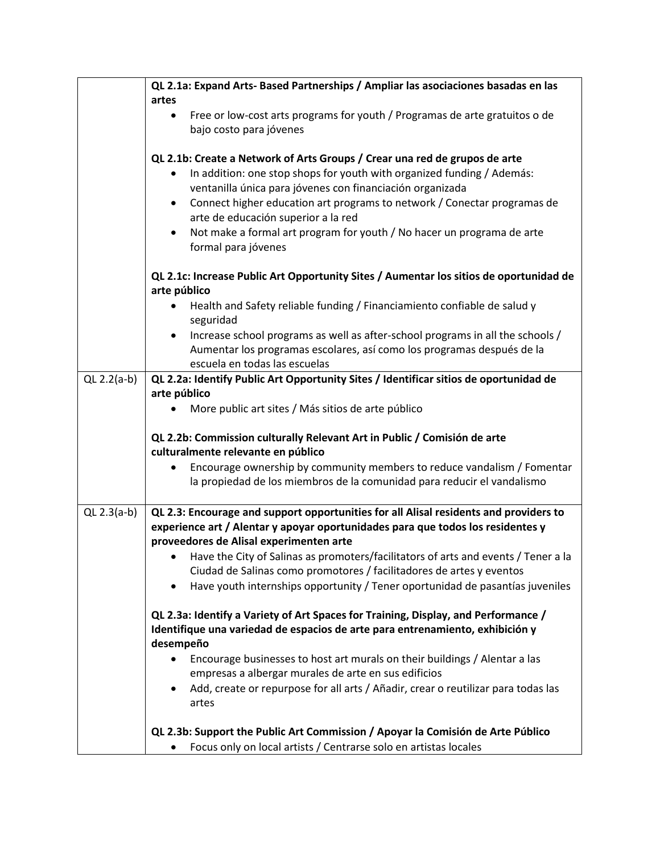|               | QL 2.1a: Expand Arts- Based Partnerships / Ampliar las asociaciones basadas en las                         |
|---------------|------------------------------------------------------------------------------------------------------------|
|               | artes                                                                                                      |
|               | Free or low-cost arts programs for youth / Programas de arte gratuitos o de<br>$\bullet$                   |
|               | bajo costo para jóvenes                                                                                    |
|               |                                                                                                            |
|               | QL 2.1b: Create a Network of Arts Groups / Crear una red de grupos de arte                                 |
|               | In addition: one stop shops for youth with organized funding / Además:                                     |
|               | ventanilla única para jóvenes con financiación organizada                                                  |
|               | Connect higher education art programs to network / Conectar programas de<br>$\bullet$                      |
|               | arte de educación superior a la red                                                                        |
|               |                                                                                                            |
|               | Not make a formal art program for youth / No hacer un programa de arte<br>$\bullet$<br>formal para jóvenes |
|               |                                                                                                            |
|               | QL 2.1c: Increase Public Art Opportunity Sites / Aumentar los sitios de oportunidad de<br>arte público     |
|               |                                                                                                            |
|               | Health and Safety reliable funding / Financiamiento confiable de salud y<br>٠<br>seguridad                 |
|               | Increase school programs as well as after-school programs in all the schools /<br>$\bullet$                |
|               | Aumentar los programas escolares, así como los programas después de la                                     |
|               | escuela en todas las escuelas                                                                              |
|               |                                                                                                            |
| QL $2.2(a-b)$ | QL 2.2a: Identify Public Art Opportunity Sites / Identificar sitios de oportunidad de                      |
|               | arte público                                                                                               |
|               | More public art sites / Más sitios de arte público                                                         |
|               |                                                                                                            |
|               | QL 2.2b: Commission culturally Relevant Art in Public / Comisión de arte                                   |
|               | culturalmente relevante en público                                                                         |
|               | Encourage ownership by community members to reduce vandalism / Fomentar                                    |
|               | la propiedad de los miembros de la comunidad para reducir el vandalismo                                    |
|               |                                                                                                            |
| QL $2.3(a-b)$ | QL 2.3: Encourage and support opportunities for all Alisal residents and providers to                      |
|               | experience art / Alentar y apoyar oportunidades para que todos los residentes y                            |
|               | proveedores de Alisal experimenten arte                                                                    |
|               | • Have the City of Salinas as promoters/facilitators of arts and events / Tener a la                       |
|               | Ciudad de Salinas como promotores / facilitadores de artes y eventos                                       |
|               | Have youth internships opportunity / Tener oportunidad de pasantías juveniles<br>٠                         |
|               | QL 2.3a: Identify a Variety of Art Spaces for Training, Display, and Performance /                         |
|               | Identifique una variedad de espacios de arte para entrenamiento, exhibición y<br>desempeño                 |
|               | Encourage businesses to host art murals on their buildings / Alentar a las                                 |
|               | empresas a albergar murales de arte en sus edificios                                                       |
|               | Add, create or repurpose for all arts / Añadir, crear o reutilizar para todas las<br>$\bullet$             |
|               | artes                                                                                                      |
|               |                                                                                                            |
|               | QL 2.3b: Support the Public Art Commission / Apoyar la Comisión de Arte Público                            |
|               | Focus only on local artists / Centrarse solo en artistas locales                                           |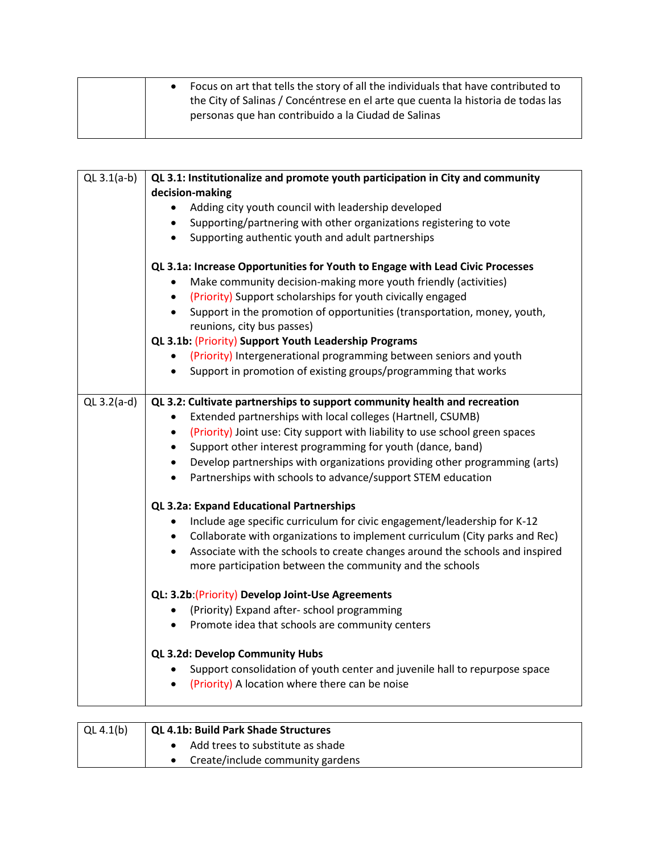| Focus on art that tells the story of all the individuals that have contributed to |
|-----------------------------------------------------------------------------------|
| the City of Salinas / Concéntrese en el arte que cuenta la historia de todas las  |
| personas que han contribuido a la Ciudad de Salinas                               |
|                                                                                   |

| QL $3.1(a-b)$ | QL 3.1: Institutionalize and promote youth participation in City and community<br>decision-making                                                                                                                                 |
|---------------|-----------------------------------------------------------------------------------------------------------------------------------------------------------------------------------------------------------------------------------|
|               | Adding city youth council with leadership developed<br>$\bullet$                                                                                                                                                                  |
|               | Supporting/partnering with other organizations registering to vote<br>$\bullet$                                                                                                                                                   |
|               | Supporting authentic youth and adult partnerships<br>$\bullet$                                                                                                                                                                    |
|               | QL 3.1a: Increase Opportunities for Youth to Engage with Lead Civic Processes<br>Make community decision-making more youth friendly (activities)<br>٠<br>(Priority) Support scholarships for youth civically engaged<br>$\bullet$ |
|               | Support in the promotion of opportunities (transportation, money, youth,<br>$\bullet$<br>reunions, city bus passes)                                                                                                               |
|               | QL 3.1b: (Priority) Support Youth Leadership Programs                                                                                                                                                                             |
|               | (Priority) Intergenerational programming between seniors and youth<br>$\bullet$                                                                                                                                                   |
|               | Support in promotion of existing groups/programming that works<br>$\bullet$                                                                                                                                                       |
| QL $3.2(a-d)$ | QL 3.2: Cultivate partnerships to support community health and recreation                                                                                                                                                         |
|               | Extended partnerships with local colleges (Hartnell, CSUMB)                                                                                                                                                                       |
|               | (Priority) Joint use: City support with liability to use school green spaces<br>$\bullet$                                                                                                                                         |
|               | Support other interest programming for youth (dance, band)<br>$\bullet$                                                                                                                                                           |
|               | Develop partnerships with organizations providing other programming (arts)<br>$\bullet$                                                                                                                                           |
|               | Partnerships with schools to advance/support STEM education<br>$\bullet$                                                                                                                                                          |
|               | QL 3.2a: Expand Educational Partnerships                                                                                                                                                                                          |
|               | Include age specific curriculum for civic engagement/leadership for K-12<br>$\bullet$                                                                                                                                             |
|               | Collaborate with organizations to implement curriculum (City parks and Rec)<br>$\bullet$                                                                                                                                          |
|               | Associate with the schools to create changes around the schools and inspired<br>$\bullet$                                                                                                                                         |
|               | more participation between the community and the schools                                                                                                                                                                          |
|               | QL: 3.2b: (Priority) Develop Joint-Use Agreements                                                                                                                                                                                 |
|               | (Priority) Expand after-school programming                                                                                                                                                                                        |
|               | Promote idea that schools are community centers<br>$\bullet$                                                                                                                                                                      |
|               | QL 3.2d: Develop Community Hubs                                                                                                                                                                                                   |
|               | Support consolidation of youth center and juvenile hall to repurpose space<br>$\bullet$                                                                                                                                           |
|               | (Priority) A location where there can be noise                                                                                                                                                                                    |

| $\vert$ QL 4.1(b) | QL 4.1b: Build Park Shade Structures |
|-------------------|--------------------------------------|
|                   | Add trees to substitute as shade     |
|                   | Create/include community gardens     |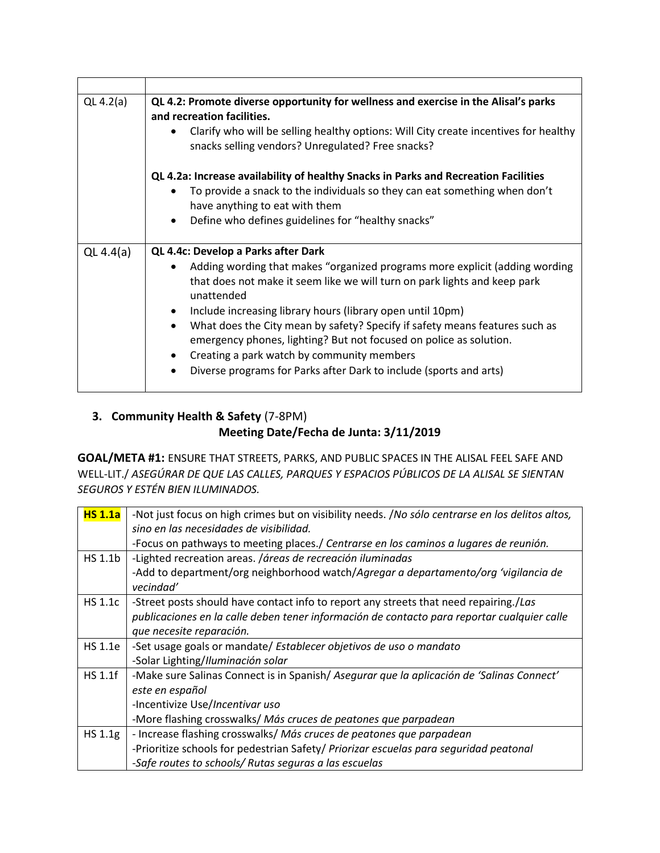| QL $4.2(a)$ | QL 4.2: Promote diverse opportunity for wellness and exercise in the Alisal's parks<br>and recreation facilities.<br>Clarify who will be selling healthy options: Will City create incentives for healthy<br>٠<br>snacks selling vendors? Unregulated? Free snacks?                                                                                                                                                                                                                                                                                                            |
|-------------|--------------------------------------------------------------------------------------------------------------------------------------------------------------------------------------------------------------------------------------------------------------------------------------------------------------------------------------------------------------------------------------------------------------------------------------------------------------------------------------------------------------------------------------------------------------------------------|
|             | QL 4.2a: Increase availability of healthy Snacks in Parks and Recreation Facilities<br>To provide a snack to the individuals so they can eat something when don't<br>have anything to eat with them<br>Define who defines guidelines for "healthy snacks"<br>٠                                                                                                                                                                                                                                                                                                                 |
| QL $4.4(a)$ | QL 4.4c: Develop a Parks after Dark<br>Adding wording that makes "organized programs more explicit (adding wording<br>that does not make it seem like we will turn on park lights and keep park<br>unattended<br>Include increasing library hours (library open until 10pm)<br>What does the City mean by safety? Specify if safety means features such as<br>$\bullet$<br>emergency phones, lighting? But not focused on police as solution.<br>Creating a park watch by community members<br>Diverse programs for Parks after Dark to include (sports and arts)<br>$\bullet$ |

# **3. Community Health & Safety** (7-8PM) **Meeting Date/Fecha de Junta: 3/11/2019**

**GOAL/META #1:** ENSURE THAT STREETS, PARKS, AND PUBLIC SPACES IN THE ALISAL FEEL SAFE AND WELL-LIT./ *ASEGÚRAR DE QUE LAS CALLES, PARQUES Y ESPACIOS PÚBLICOS DE LA ALISAL SE SIENTAN SEGUROS Y ESTÉN BIEN ILUMINADOS.*

| <b>HS 1.1a</b> | -Not just focus on high crimes but on visibility needs. /No sólo centrarse en los delitos altos, |
|----------------|--------------------------------------------------------------------------------------------------|
|                | sino en las necesidades de visibilidad.                                                          |
|                | -Focus on pathways to meeting places./ Centrarse en los caminos a lugares de reunión.            |
| HS 1.1b        | -Lighted recreation areas. /áreas de recreación iluminadas                                       |
|                | -Add to department/org neighborhood watch/Agregar a departamento/org 'vigilancia de              |
|                | vecindad'                                                                                        |
| <b>HS 1.1c</b> | -Street posts should have contact info to report any streets that need repairing./Las            |
|                | publicaciones en la calle deben tener información de contacto para reportar cualquier calle      |
|                | que necesite reparación.                                                                         |
| HS 1.1e        | -Set usage goals or mandate/ Establecer objetivos de uso o mandato                               |
|                | -Solar Lighting/Iluminación solar                                                                |
| <b>HS 1.1f</b> | -Make sure Salinas Connect is in Spanish/ Asegurar que la aplicación de 'Salinas Connect'        |
|                | este en español                                                                                  |
|                | -Incentivize Use/Incentivar uso                                                                  |
|                | -More flashing crosswalks/ Más cruces de peatones que parpadean                                  |
| HS 1.1g        | - Increase flashing crosswalks/ Más cruces de peatones que parpadean                             |
|                | -Prioritize schools for pedestrian Safety/ Priorizar escuelas para seguridad peatonal            |
|                | -Safe routes to schools/ Rutas seguras a las escuelas                                            |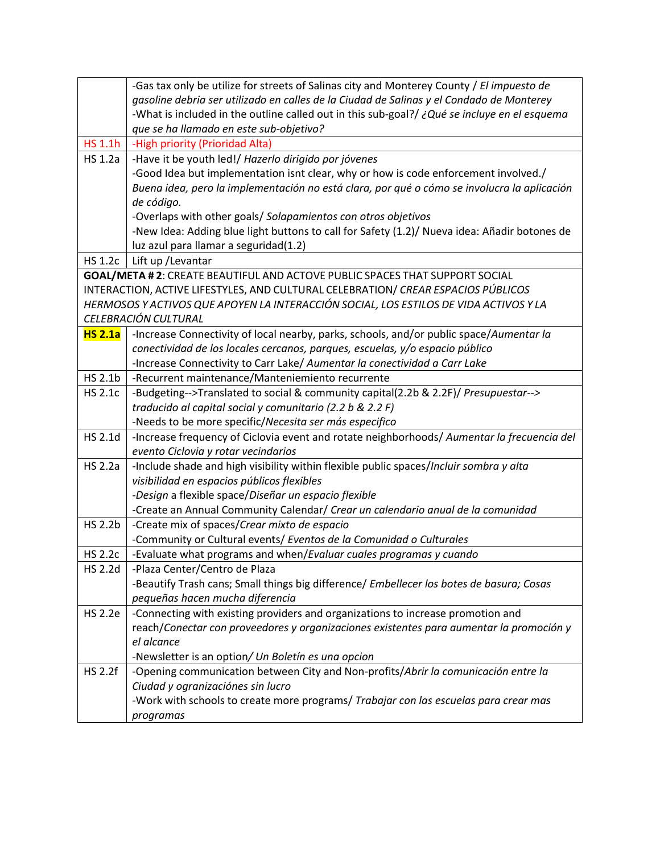|                | -Gas tax only be utilize for streets of Salinas city and Monterey County / El impuesto de    |
|----------------|----------------------------------------------------------------------------------------------|
|                | gasoline debria ser utilizado en calles de la Ciudad de Salinas y el Condado de Monterey     |
|                | -What is included in the outline called out in this sub-goal?/ ¿Qué se incluye en el esquema |
|                | que se ha llamado en este sub-objetivo?                                                      |
| HS 1.1h        | -High priority (Prioridad Alta)                                                              |
| <b>HS 1.2a</b> | -Have it be youth led!/ Hazerlo dirigido por jóvenes                                         |
|                | -Good Idea but implementation isnt clear, why or how is code enforcement involved./          |
|                | Buena idea, pero la implementación no está clara, por qué o cómo se involucra la aplicación  |
|                | de código.                                                                                   |
|                | -Overlaps with other goals/ Solapamientos con otros objetivos                                |
|                | -New Idea: Adding blue light buttons to call for Safety (1.2)/ Nueva idea: Añadir botones de |
|                | luz azul para llamar a seguridad(1.2)                                                        |
| <b>HS 1.2c</b> | Lift up / Levantar                                                                           |
|                | GOAL/META #2: CREATE BEAUTIFUL AND ACTOVE PUBLIC SPACES THAT SUPPORT SOCIAL                  |
|                | INTERACTION, ACTIVE LIFESTYLES, AND CULTURAL CELEBRATION/ CREAR ESPACIOS PÚBLICOS            |
|                | HERMOSOS Y ACTIVOS QUE APOYEN LA INTERACCIÓN SOCIAL, LOS ESTILOS DE VIDA ACTIVOS Y LA        |
|                | CELEBRACIÓN CULTURAL                                                                         |
| <b>HS 2.1a</b> | -Increase Connectivity of local nearby, parks, schools, and/or public space/Aumentar la      |
|                | conectividad de los locales cercanos, parques, escuelas, y/o espacio público                 |
|                | -Increase Connectivity to Carr Lake/ Aumentar la conectividad a Carr Lake                    |
| HS 2.1b        | -Recurrent maintenance/Manteniemiento recurrente                                             |
| <b>HS 2.1c</b> | -Budgeting-->Translated to social & community capital(2.2b & 2.2F)/ Presupuestar-->          |
|                | traducido al capital social y comunitario (2.2 b & 2.2 F)                                    |
|                | -Needs to be more specific/Necesita ser más especifico                                       |
| <b>HS 2.1d</b> | -Increase frequency of Ciclovia event and rotate neighborhoods/ Aumentar la frecuencia del   |
|                | evento Ciclovia y rotar vecindarios                                                          |
| <b>HS 2.2a</b> | -Include shade and high visibility within flexible public spaces/Incluir sombra y alta       |
|                | visibilidad en espacios públicos flexibles                                                   |
|                | -Design a flexible space/Diseñar un espacio flexible                                         |
|                | -Create an Annual Community Calendar/ Crear un calendario anual de la comunidad              |
| <b>HS 2.2b</b> | -Create mix of spaces/Crear mixto de espacio                                                 |
|                | -Community or Cultural events/ Eventos de la Comunidad o Culturales                          |
| <b>HS 2.2c</b> | -Evaluate what programs and when/Evaluar cuales programas y cuando                           |
| <b>HS 2.2d</b> | -Plaza Center/Centro de Plaza                                                                |
|                | -Beautify Trash cans; Small things big difference/ Embellecer los botes de basura; Cosas     |
|                | pequeñas hacen mucha diferencia                                                              |
| <b>HS 2.2e</b> | -Connecting with existing providers and organizations to increase promotion and              |
|                | reach/Conectar con proveedores y organizaciones existentes para aumentar la promoción y      |
|                | el alcance                                                                                   |
|                | -Newsletter is an option/ Un Boletín es una opcion                                           |
| <b>HS 2.2f</b> | -Opening communication between City and Non-profits/Abrir la comunicación entre la           |
|                | Ciudad y ogranizaciónes sin lucro                                                            |
|                | -Work with schools to create more programs/ Trabajar con las escuelas para crear mas         |
|                | programas                                                                                    |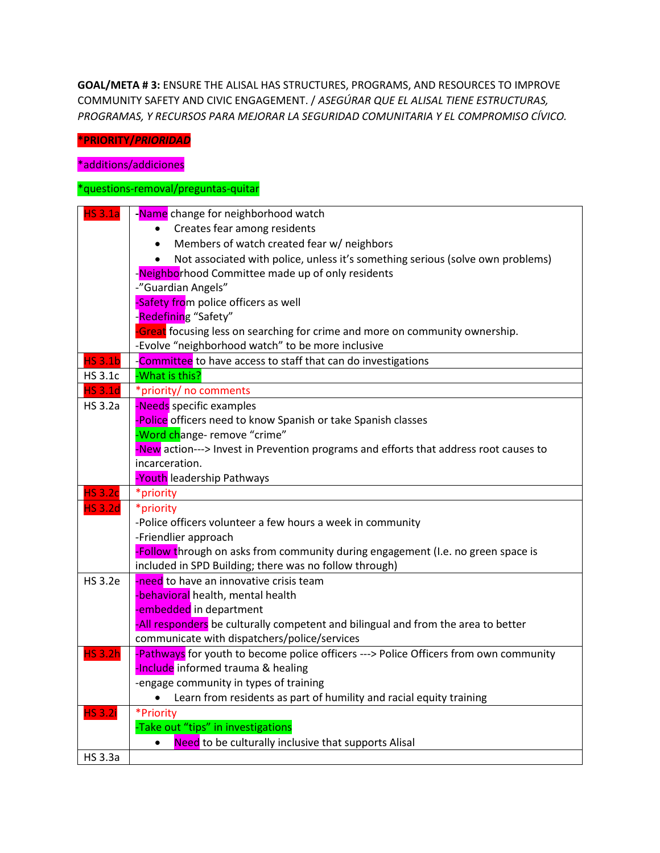**GOAL/META # 3:** ENSURE THE ALISAL HAS STRUCTURES, PROGRAMS, AND RESOURCES TO IMPROVE COMMUNITY SAFETY AND CIVIC ENGAGEMENT. / *ASEGÚRAR QUE EL ALISAL TIENE ESTRUCTURAS, PROGRAMAS, Y RECURSOS PARA MEJORAR LA SEGURIDAD COMUNITARIA Y EL COMPROMISO CÍVICO.*

### **\*PRIORITY/***PRIORIDAD*

\*additions/addiciones

#### \*questions-removal/preguntas-quitar

| <b>HS 3.1a</b> | -Name change for neighborhood watch                                                   |
|----------------|---------------------------------------------------------------------------------------|
|                | Creates fear among residents                                                          |
|                | Members of watch created fear w/ neighbors<br>$\bullet$                               |
|                | • Not associated with police, unless it's something serious (solve own problems)      |
|                | -Neighborhood Committee made up of only residents                                     |
|                | -"Guardian Angels"                                                                    |
|                | -Safety from police officers as well                                                  |
|                | -Redefining "Safety"                                                                  |
|                | -Great focusing less on searching for crime and more on community ownership.          |
|                | -Evolve "neighborhood watch" to be more inclusive                                     |
| <b>HS 3.1b</b> | -Committee to have access to staff that can do investigations                         |
| <b>HS 3.1c</b> | -What is this?                                                                        |
| <b>HS 3.1d</b> | *priority/ no comments                                                                |
| <b>HS 3.2a</b> | -Needs specific examples                                                              |
|                | -Police officers need to know Spanish or take Spanish classes                         |
|                | -Word change- remove "crime"                                                          |
|                | -New action---> Invest in Prevention programs and efforts that address root causes to |
|                | incarceration.                                                                        |
|                | -Youth leadership Pathways                                                            |
| <b>HS 3.2c</b> | *priority                                                                             |
| <b>HS 3.2d</b> | *priority                                                                             |
|                | -Police officers volunteer a few hours a week in community                            |
|                | -Friendlier approach                                                                  |
|                | -Follow through on asks from community during engagement (I.e. no green space is      |
|                | included in SPD Building; there was no follow through)                                |
| <b>HS 3.2e</b> | -need to have an innovative crisis team                                               |
|                | -behavioral health, mental health                                                     |
|                | -embedded in department                                                               |
|                | -All responders be culturally competent and bilingual and from the area to better     |
|                | communicate with dispatchers/police/services                                          |
| <b>HS 3.2h</b> | -Pathways for youth to become police officers ---> Police Officers from own community |
|                | -Include informed trauma & healing                                                    |
|                | -engage community in types of training                                                |
|                | Learn from residents as part of humility and racial equity training                   |
| <b>HS 3.2i</b> | *Priority                                                                             |
|                | -Take out "tips" in investigations                                                    |
|                | Need to be culturally inclusive that supports Alisal                                  |
| <b>HS 3.3a</b> |                                                                                       |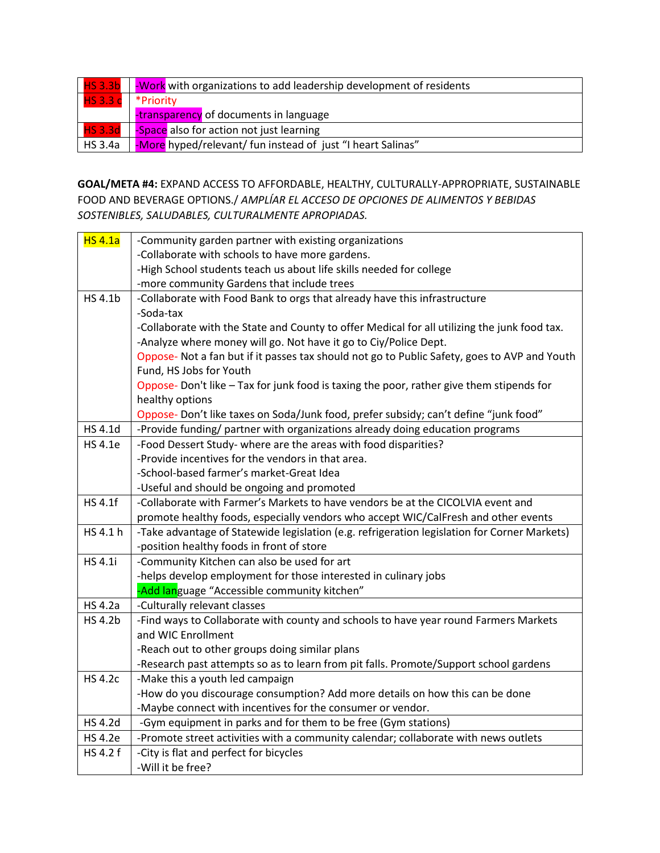|                     | <b>HS 3.3b</b>   Work with organizations to add leadership development of residents |
|---------------------|-------------------------------------------------------------------------------------|
| HS 3.3 c * Priority |                                                                                     |
|                     | -transparency of documents in language                                              |
|                     | <b>HS 3.3d</b>   Space also for action not just learning                            |
| HS3.4a              | -More hyped/relevant/ fun instead of just "I heart Salinas"                         |

## **GOAL/META #4:** EXPAND ACCESS TO AFFORDABLE, HEALTHY, CULTURALLY-APPROPRIATE, SUSTAINABLE FOOD AND BEVERAGE OPTIONS./ *AMPLÍAR EL ACCESO DE OPCIONES DE ALIMENTOS Y BEBIDAS SOSTENIBLES, SALUDABLES, CULTURALMENTE APROPIADAS.*

| <b>HS 4.1a</b> | -Community garden partner with existing organizations                                        |
|----------------|----------------------------------------------------------------------------------------------|
|                | -Collaborate with schools to have more gardens.                                              |
|                | -High School students teach us about life skills needed for college                          |
|                | -more community Gardens that include trees                                                   |
| HS 4.1b        | -Collaborate with Food Bank to orgs that already have this infrastructure                    |
|                | -Soda-tax                                                                                    |
|                | -Collaborate with the State and County to offer Medical for all utilizing the junk food tax. |
|                | -Analyze where money will go. Not have it go to Ciy/Police Dept.                             |
|                | Oppose- Not a fan but if it passes tax should not go to Public Safety, goes to AVP and Youth |
|                | Fund, HS Jobs for Youth                                                                      |
|                | Oppose- Don't like - Tax for junk food is taxing the poor, rather give them stipends for     |
|                | healthy options                                                                              |
|                | Oppose- Don't like taxes on Soda/Junk food, prefer subsidy; can't define "junk food"         |
| HS 4.1d        | -Provide funding/ partner with organizations already doing education programs                |
| HS 4.1e        | -Food Dessert Study- where are the areas with food disparities?                              |
|                | -Provide incentives for the vendors in that area.                                            |
|                | -School-based farmer's market-Great Idea                                                     |
|                | -Useful and should be ongoing and promoted                                                   |
| <b>HS4.1f</b>  | -Collaborate with Farmer's Markets to have vendors be at the CICOLVIA event and              |
|                | promote healthy foods, especially vendors who accept WIC/CalFresh and other events           |
| HS 4.1 h       | -Take advantage of Statewide legislation (e.g. refrigeration legislation for Corner Markets) |
|                | -position healthy foods in front of store                                                    |
| HS 4.1i        | -Community Kitchen can also be used for art                                                  |
|                | -helps develop employment for those interested in culinary jobs                              |
|                | -Add language "Accessible community kitchen"                                                 |
| <b>HS 4.2a</b> | -Culturally relevant classes                                                                 |
| <b>HS 4.2b</b> | -Find ways to Collaborate with county and schools to have year round Farmers Markets         |
|                | and WIC Enrollment                                                                           |
|                | -Reach out to other groups doing similar plans                                               |
|                | -Research past attempts so as to learn from pit falls. Promote/Support school gardens        |
| <b>HS 4.2c</b> | -Make this a youth led campaign                                                              |
|                | -How do you discourage consumption? Add more details on how this can be done                 |
|                | -Maybe connect with incentives for the consumer or vendor.                                   |
| <b>HS 4.2d</b> | -Gym equipment in parks and for them to be free (Gym stations)                               |
| <b>HS 4.2e</b> | -Promote street activities with a community calendar; collaborate with news outlets          |
| HS 4.2 f       | -City is flat and perfect for bicycles                                                       |
|                | -Will it be free?                                                                            |